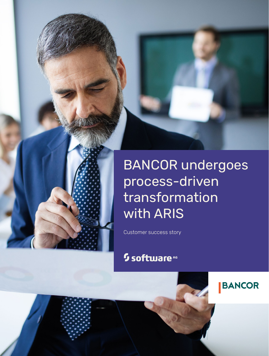

**BANCOR** 

Customer success story

# <sup>5</sup> software<sup>46</sup>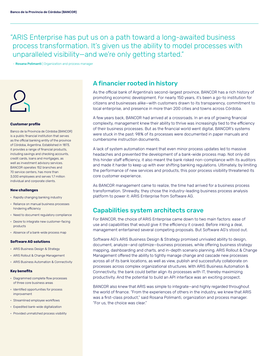"ARIS Enterprise has put us on a path toward a long-awaited business process transformation. It's given us the ability to model processes with unparalleled visibility—and we're only getting started."

– Rosana Polimanti | Organization and process manager



### **Customer profile**

Banco de la Provincia de Córdoba (BANCOR) is a public financial institution that serves as the official banking entity of the province of Córdoba, Argentina. Established in 1873, it provides a range of financial products, including savings and checking accounts, credit cards, loans and mortgages, as well as investment advisory services. BANCOR operates 152 branches and 70 service centers, has more than 3,000 employees and serves 1.7 million individual and corporate clients.

### **New challenges**

- Rapidly changing banking industry
- Reliance on manual business processes hindering efficiency
- Need to document regulatory compliance
- Desire to integrate new customer-facing products
- Absence of a bank-wide process map

#### **Software AG solutions**

- ARIS Business Design & Strategy
- ARIS Rollout & Change Management
- ARIS Business Automation & Connectivity

#### **Key benefits**

- Diagrammed complete flow processes of three core business areas
- Identified opportunities for process improvement
- Streamlined employee workflows
- Expedited bank-wide digitalization
- Provided unmatched process visibility

### A financier rooted in history

As the official bank of Argentina's second-largest province, BANCOR has a rich history of promoting economic development. For nearly 150 years, it's been a go-to institution for citizens and businesses alike—with customers drawn to its transparency, commitment to local enterprise, and presence in more than 200 cities and towns across Córdoba.

A few years back, BANCOR had arrived at a crossroads. In an era of growing financial complexity, management knew their ability to thrive was increasingly tied to the efficiency of their business processes. But as the financial world went digital, BANCOR's systems were stuck in the past: 98% of its processes were documented in paper manuals and cumbersome instruction documents.

A lack of system automation meant that even minor process updates led to massive headaches and prevented the development of a bank-wide process map. Not only did this hinder staff efficiency, it also meant the bank risked non-compliance with its auditors and made it harder to keep up with ever shifting banking regulations. Ultimately, by limiting the performance of new services and products, this poor process visibility threatened its core customer experience.

As BANCOR management came to realize, the time had arrived for a business process transformation. Shrewdly, they chose the industry-leading business process analysis platform to power it: ARIS Enterprise from Software AG.

### Capabilities system architects crave

For BANCOR, the choice of ARIS Enterprise came down to two main factors: ease of use and capabilities that would give it the efficiency it craved. Before inking a deal, management entertained several competing proposals. But Software AG's stood out.

Software AG's ARIS Business Design & Strategy promised unrivaled ability to design, document, analyze—and optimize—business processes, while offering business strategy mapping, dashboarding and charts, and in-depth scenario planning. ARIS Rollout & Change Management offered the ability to tightly manage change and cascade new processes across all of its bank locations, as well as view, publish and successfully collaborate on processes across complex organizational structures. With ARIS Business Automation & Connectivity, the bank could better align its processes with IT, thereby maximizing productivity. And the potential to build an API interface was an exciting prospect.

BANCOR also knew that ARIS was simple to integrate—and highly regarded throughout the world of finance. "From the experiences of others in the industry, we knew that ARIS was a first-class product," said Rosana Polimanti, organization and process manager. "For us, the choice was clear."